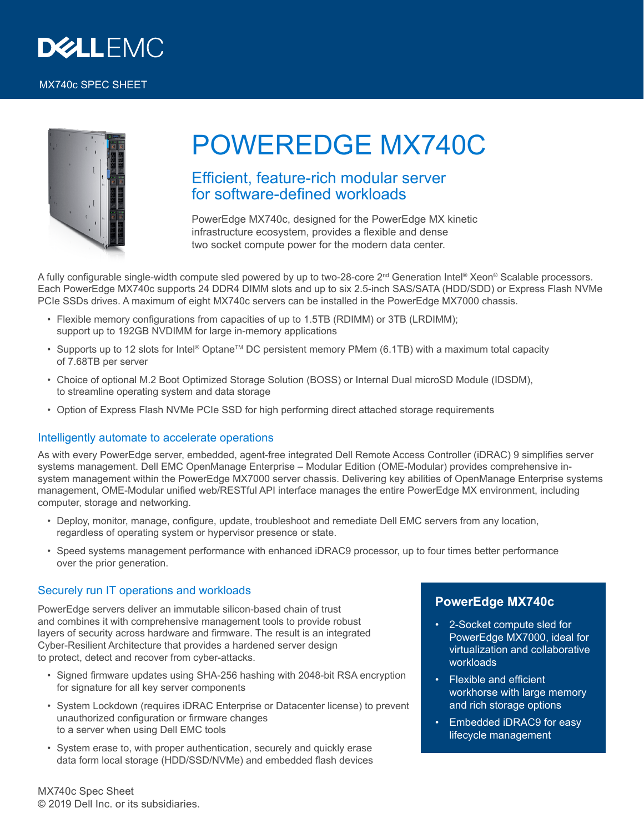

#### MX740c SPEC SHEET



# POWEREDGE MX740C

## Efficient, feature-rich modular server for software-defined workloads

PowerEdge MX740c, designed for the PowerEdge MX kinetic infrastructure ecosystem, provides a flexible and dense two socket compute power for the modern data center.

A fully configurable single-width compute sled powered by up to two-28-core  $2^{nd}$  Generation Intel® Xeon® Scalable processors. Each PowerEdge MX740c supports 24 DDR4 DIMM slots and up to six 2.5-inch SAS/SATA (HDD/SDD) or Express Flash NVMe PCIe SSDs drives. A maximum of eight MX740c servers can be installed in the PowerEdge MX7000 chassis.

- Flexible memory configurations from capacities of up to 1.5TB (RDIMM) or 3TB (LRDIMM); support up to 192GB NVDIMM for large in-memory applications
- Supports up to 12 slots for Intel® Optane<sup>™</sup> DC persistent memory PMem (6.1TB) with a maximum total capacity of 7.68TB per server
- Choice of optional M.2 Boot Optimized Storage Solution (BOSS) or Internal Dual microSD Module (IDSDM), to streamline operating system and data storage
- Option of Express Flash NVMe PCIe SSD for high performing direct attached storage requirements

#### Intelligently automate to accelerate operations

As with every PowerEdge server, embedded, agent-free integrated Dell Remote Access Controller (iDRAC) 9 simplifies server systems management. Dell EMC OpenManage Enterprise – Modular Edition (OME-Modular) provides comprehensive insystem management within the PowerEdge MX7000 server chassis. Delivering key abilities of OpenManage Enterprise systems management, OME-Modular unified web/RESTful API interface manages the entire PowerEdge MX environment, including computer, storage and networking.

- Deploy, monitor, manage, configure, update, troubleshoot and remediate Dell EMC servers from any location, regardless of operating system or hypervisor presence or state.
- Speed systems management performance with enhanced iDRAC9 processor, up to four times better performance over the prior generation.

#### Securely run IT operations and workloads

PowerEdge servers deliver an immutable silicon-based chain of trust and combines it with comprehensive management tools to provide robust layers of security across hardware and firmware. The result is an integrated Cyber-Resilient Architecture that provides a hardened server design to protect, detect and recover from cyber-attacks.

- Signed firmware updates using SHA-256 hashing with 2048-bit RSA encryption for signature for all key server components
- System Lockdown (requires iDRAC Enterprise or Datacenter license) to prevent unauthorized configuration or firmware changes to a server when using Dell EMC tools
- System erase to, with proper authentication, securely and quickly erase data form local storage (HDD/SSD/NVMe) and embedded flash devices

### **PowerEdge MX740c**

- 2-Socket compute sled for PowerEdge MX7000, ideal for virtualization and collaborative workloads
- Flexible and efficient workhorse with large memory and rich storage options
- Embedded iDRAC9 for easy lifecycle management

MX740c Spec Sheet © 2019 Dell Inc. or its subsidiaries.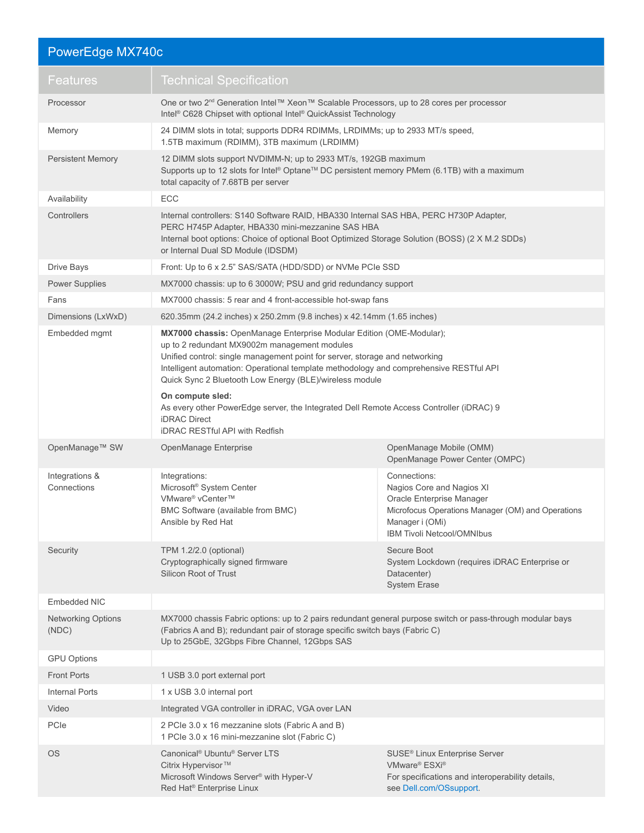| PowerEdge MX740c                   |                                                                                                                                                                                                                                                                                                                                                          |                                                                                                                                                                                     |
|------------------------------------|----------------------------------------------------------------------------------------------------------------------------------------------------------------------------------------------------------------------------------------------------------------------------------------------------------------------------------------------------------|-------------------------------------------------------------------------------------------------------------------------------------------------------------------------------------|
| <b>Features</b>                    | <b>Technical Specification</b>                                                                                                                                                                                                                                                                                                                           |                                                                                                                                                                                     |
| Processor                          | One or two 2 <sup>nd</sup> Generation Intel™ Xeon™ Scalable Processors, up to 28 cores per processor<br>Intel® C628 Chipset with optional Intel® QuickAssist Technology                                                                                                                                                                                  |                                                                                                                                                                                     |
| Memory                             | 24 DIMM slots in total; supports DDR4 RDIMMs, LRDIMMs; up to 2933 MT/s speed,<br>1.5TB maximum (RDIMM), 3TB maximum (LRDIMM)                                                                                                                                                                                                                             |                                                                                                                                                                                     |
| <b>Persistent Memory</b>           | 12 DIMM slots support NVDIMM-N; up to 2933 MT/s, 192GB maximum<br>Supports up to 12 slots for Intel® Optane™ DC persistent memory PMem (6.1TB) with a maximum<br>total capacity of 7.68TB per server                                                                                                                                                     |                                                                                                                                                                                     |
| Availability                       | ECC                                                                                                                                                                                                                                                                                                                                                      |                                                                                                                                                                                     |
| Controllers                        | Internal controllers: S140 Software RAID, HBA330 Internal SAS HBA, PERC H730P Adapter,<br>PERC H745P Adapter, HBA330 mini-mezzanine SAS HBA<br>Internal boot options: Choice of optional Boot Optimized Storage Solution (BOSS) (2 X M.2 SDDs)<br>or Internal Dual SD Module (IDSDM)                                                                     |                                                                                                                                                                                     |
| Drive Bays                         | Front: Up to 6 x 2.5" SAS/SATA (HDD/SDD) or NVMe PCIe SSD                                                                                                                                                                                                                                                                                                |                                                                                                                                                                                     |
| <b>Power Supplies</b>              | MX7000 chassis: up to 6 3000W; PSU and grid redundancy support                                                                                                                                                                                                                                                                                           |                                                                                                                                                                                     |
| Fans                               | MX7000 chassis: 5 rear and 4 front-accessible hot-swap fans                                                                                                                                                                                                                                                                                              |                                                                                                                                                                                     |
| Dimensions (LxWxD)                 | 620.35mm (24.2 inches) x 250.2mm (9.8 inches) x 42.14mm (1.65 inches)                                                                                                                                                                                                                                                                                    |                                                                                                                                                                                     |
| Embedded mgmt                      | MX7000 chassis: OpenManage Enterprise Modular Edition (OME-Modular);<br>up to 2 redundant MX9002m management modules<br>Unified control: single management point for server, storage and networking<br>Intelligent automation: Operational template methodology and comprehensive RESTful API<br>Quick Sync 2 Bluetooth Low Energy (BLE)/wireless module |                                                                                                                                                                                     |
|                                    | On compute sled:<br>As every other PowerEdge server, the Integrated Dell Remote Access Controller (iDRAC) 9<br><b>iDRAC</b> Direct<br><b>iDRAC RESTful API with Redfish</b>                                                                                                                                                                              |                                                                                                                                                                                     |
| OpenManage™ SW                     | OpenManage Enterprise                                                                                                                                                                                                                                                                                                                                    | OpenManage Mobile (OMM)<br>OpenManage Power Center (OMPC)                                                                                                                           |
| Integrations &<br>Connections      | Integrations:<br>Microsoft <sup>®</sup> System Center<br>VMware® vCenter™<br>BMC Software (available from BMC)<br>Ansible by Red Hat                                                                                                                                                                                                                     | Connections:<br>Nagios Core and Nagios XI<br>Oracle Enterprise Manager<br>Microfocus Operations Manager (OM) and Operations<br>Manager i (OMi)<br><b>IBM Tivoli Netcool/OMNIbus</b> |
| Security                           | TPM 1.2/2.0 (optional)<br>Cryptographically signed firmware<br><b>Silicon Root of Trust</b>                                                                                                                                                                                                                                                              | Secure Boot<br>System Lockdown (requires iDRAC Enterprise or<br>Datacenter)<br><b>System Erase</b>                                                                                  |
| Embedded NIC                       |                                                                                                                                                                                                                                                                                                                                                          |                                                                                                                                                                                     |
| <b>Networking Options</b><br>(NDC) | MX7000 chassis Fabric options: up to 2 pairs redundant general purpose switch or pass-through modular bays<br>(Fabrics A and B); redundant pair of storage specific switch bays (Fabric C)<br>Up to 25GbE, 32Gbps Fibre Channel, 12Gbps SAS                                                                                                              |                                                                                                                                                                                     |
| <b>GPU Options</b>                 |                                                                                                                                                                                                                                                                                                                                                          |                                                                                                                                                                                     |
| <b>Front Ports</b>                 | 1 USB 3.0 port external port                                                                                                                                                                                                                                                                                                                             |                                                                                                                                                                                     |
| <b>Internal Ports</b>              | 1 x USB 3.0 internal port                                                                                                                                                                                                                                                                                                                                |                                                                                                                                                                                     |
| Video                              | Integrated VGA controller in iDRAC, VGA over LAN                                                                                                                                                                                                                                                                                                         |                                                                                                                                                                                     |
| PCIe                               | 2 PCIe 3.0 x 16 mezzanine slots (Fabric A and B)<br>1 PCIe 3.0 x 16 mini-mezzanine slot (Fabric C)                                                                                                                                                                                                                                                       |                                                                                                                                                                                     |
| <b>OS</b>                          | Canonical <sup>®</sup> Ubuntu <sup>®</sup> Server LTS<br>Citrix Hypervisor <sup>™</sup><br>Microsoft Windows Server <sup>®</sup> with Hyper-V<br>Red Hat® Enterprise Linux                                                                                                                                                                               | SUSE <sup>®</sup> Linux Enterprise Server<br>VMware® ESXi®<br>For specifications and interoperability details,<br>see Dell.com/OSsupport.                                           |